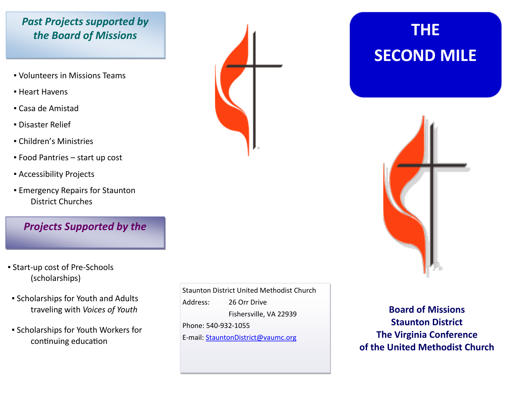#### *Past Projects supported by the Board of Missions*

- Volunteers in Missions Teams
- **E** Heart Havens
- Casa de Amistad
- Disaster Relief
- Children's Ministries
- Food Pantries start up cost
- Accessibility Projects
- **Emergency Repairs for Staunton** District Churches

#### *Projects Supported by the*

- Start-up cost of Pre-Schools (scholarships)
- Scholarships for Youth and Adults traveling with *Voices of Youth*
- Scholarships for Youth Workers for continuing education

Staunton District United Methodist Church Address: 26 Orr Drive Fishersville, VA 22939 Phone: 540-932-1055 E-mail: StauntonDistrict@vaumc.org

# **THE SECOND MILE**



**Board of Missions Staunton District The Virginia Conference of the United Methodist Church**